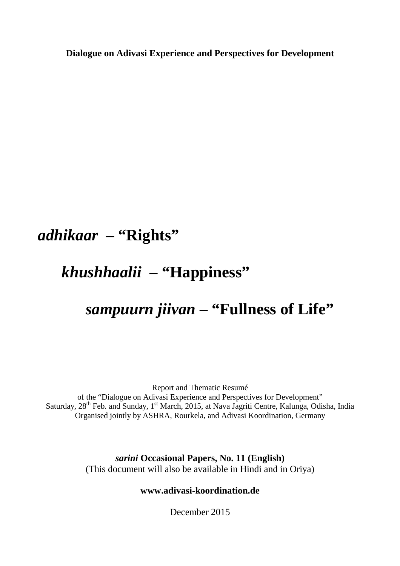**Dialogue on Adivasi Experience and Perspectives for Development**

# *adhikaar* **– "Rights"**

# *khushhaalii* **– "Happiness"**

# *sampuurn jiivan* **– "Fullness of Life"**

Report and Thematic Resumé of the "Dialogue on Adivasi Experience and Perspectives for Development" Saturday, 28<sup>th</sup> Feb. and Sunday, 1<sup>st</sup> March, 2015, at Nava Jagriti Centre, Kalunga, Odisha, India Organised jointly by ASHRA, Rourkela, and Adivasi Koordination, Germany

> *sarini* **Occasional Papers, No. 11 (English)**  (This document will also be available in Hindi and in Oriya)

#### **www.adivasi-koordination.de**

December 2015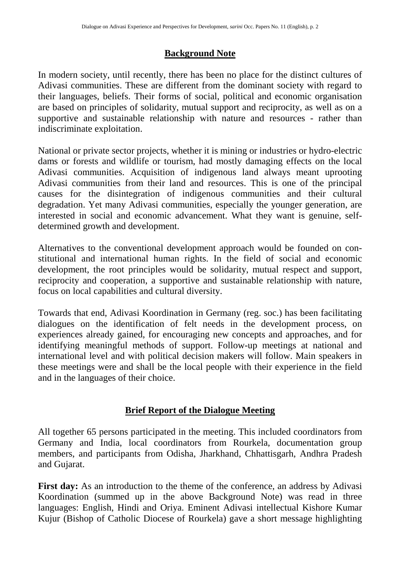## **Background Note**

In modern society, until recently, there has been no place for the distinct cultures of Adivasi communities. These are different from the dominant society with regard to their languages, beliefs. Their forms of social, political and economic organisation are based on principles of solidarity, mutual support and reciprocity, as well as on a supportive and sustainable relationship with nature and resources - rather than indiscriminate exploitation.

National or private sector projects, whether it is mining or industries or hydro-electric dams or forests and wildlife or tourism, had mostly damaging effects on the local Adivasi communities. Acquisition of indigenous land always meant uprooting Adivasi communities from their land and resources. This is one of the principal causes for the disintegration of indigenous communities and their cultural degradation. Yet many Adivasi communities, especially the younger generation, are interested in social and economic advancement. What they want is genuine, selfdetermined growth and development.

Alternatives to the conventional development approach would be founded on constitutional and international human rights. In the field of social and economic development, the root principles would be solidarity, mutual respect and support, reciprocity and cooperation, a supportive and sustainable relationship with nature, focus on local capabilities and cultural diversity.

Towards that end, Adivasi Koordination in Germany (reg. soc.) has been facilitating dialogues on the identification of felt needs in the development process, on experiences already gained, for encouraging new concepts and approaches, and for identifying meaningful methods of support. Follow-up meetings at national and international level and with political decision makers will follow. Main speakers in these meetings were and shall be the local people with their experience in the field and in the languages of their choice.

## **Brief Report of the Dialogue Meeting**

All together 65 persons participated in the meeting. This included coordinators from Germany and India, local coordinators from Rourkela, documentation group members, and participants from Odisha, Jharkhand, Chhattisgarh, Andhra Pradesh and Gujarat.

First day: As an introduction to the theme of the conference, an address by Adivasi Koordination (summed up in the above Background Note) was read in three languages: English, Hindi and Oriya. Eminent Adivasi intellectual Kishore Kumar Kujur (Bishop of Catholic Diocese of Rourkela) gave a short message highlighting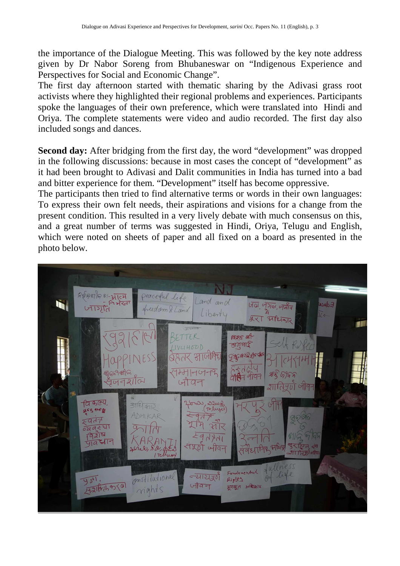the importance of the Dialogue Meeting. This was followed by the key note address given by Dr Nabor Soreng from Bhubaneswar on "Indigenous Experience and Perspectives for Social and Economic Change".

The first day afternoon started with thematic sharing by the Adivasi grass root activists where they highlighted their regional problems and experiences. Participants spoke the languages of their own preference, which were translated into Hindi and Oriya. The complete statements were video and audio recorded. The first day also included songs and dances.

**Second day:** After bridging from the first day, the word "development" was dropped in the following discussions: because in most cases the concept of "development" as it had been brought to Adivasi and Dalit communities in India has turned into a bad and bitter experience for them. "Development" itself has become oppressive.

The participants then tried to find alternative terms or words in their own languages: To express their own felt needs, their aspirations and visions for a change from the present condition. This resulted in a very lively debate with much consensus on this, and a great number of terms was suggested in Hindi, Oriya, Telugu and English, which were noted on sheets of paper and all fixed on a board as presented in the photo below.

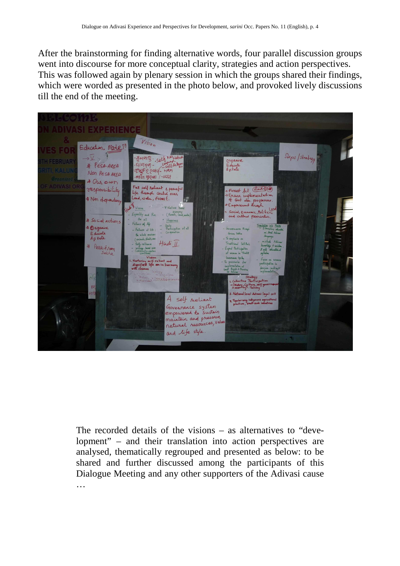After the brainstorming for finding alternative words, four parallel discussion groups went into discourse for more conceptual clarity, strategies and action perspectives. This was followed again by plenary session in which the groups shared their findings, which were worded as presented in the photo below, and provoked lively discussions till the end of the meeting.



The recorded details of the visions – as alternatives to "development" – and their translation into action perspectives are analysed, thematically regrouped and presented as below: to be shared and further discussed among the participants of this Dialogue Meeting and any other supporters of the Adivasi cause …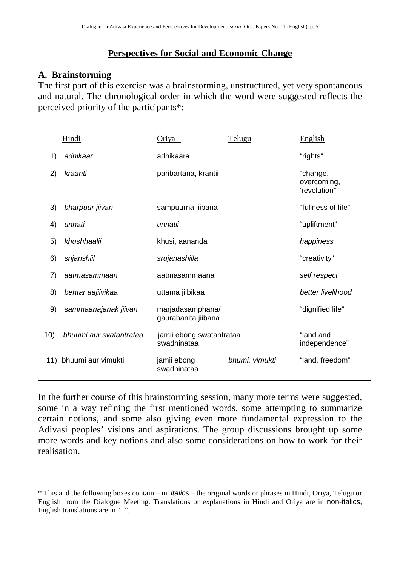## **Perspectives for Social and Economic Change**

### **A. Brainstorming**

The first part of this exercise was a brainstorming, unstructured, yet very spontaneous and natural. The chronological order in which the word were suggested reflects the perceived priority of the participants\*:

|     | Hindi                   | Oriya                                   | Telugu         | English                                 |
|-----|-------------------------|-----------------------------------------|----------------|-----------------------------------------|
| 1)  | adhikaar                | adhikaara                               |                | "rights"                                |
| 2)  | kraanti                 | paribartana, krantii                    |                | "change,<br>overcoming,<br>'revolution" |
| 3)  | bharpuur jiivan         | sampuurna jiibana                       |                | "fullness of life"                      |
| 4)  | unnati                  | unnatii                                 |                | "upliftment"                            |
| 5)  | khushhaalii             | khusi, aananda                          |                | happiness                               |
| 6)  | srijanshiil             | srujanashiila                           |                | "creativity"                            |
| 7)  | aatmasammaan            | aatmasammaana                           |                | self respect                            |
| 8)  | behtar aajiivikaa       | uttama jiibikaa                         |                | better livelihood                       |
| 9)  | sammaanajanak jiivan    | marjadasamphana/<br>gaurabanita jiibana |                | "dignified life"                        |
| 10) | bhuumi aur svatantrataa | jamii ebong swatantrataa<br>swadhinataa |                | "land and<br>independence"              |
| 11) | bhuumi aur vimukti      | jamii ebong<br>swadhinataa              | bhumi, vimukti | "land, freedom"                         |

In the further course of this brainstorming session, many more terms were suggested, some in a way refining the first mentioned words, some attempting to summarize certain notions, and some also giving even more fundamental expression to the Adivasi peoples' visions and aspirations. The group discussions brought up some more words and key notions and also some considerations on how to work for their realisation.

<sup>\*</sup> This and the following boxes contain – in italics – the original words or phrases in Hindi, Oriya, Telugu or English from the Dialogue Meeting. Translations or explanations in Hindi and Oriya are in non-italics, English translations are in "".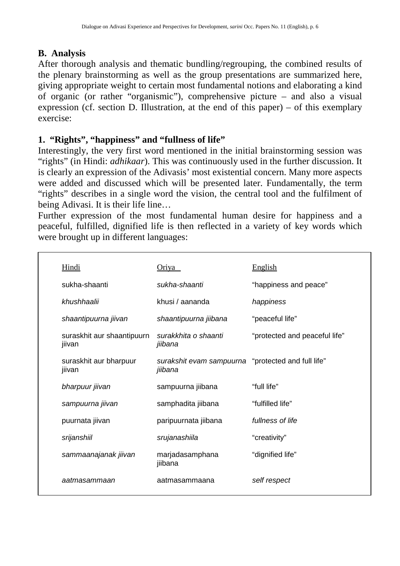## **B. Analysis**

After thorough analysis and thematic bundling/regrouping, the combined results of the plenary brainstorming as well as the group presentations are summarized here, giving appropriate weight to certain most fundamental notions and elaborating a kind of organic (or rather "organismic"), comprehensive picture – and also a visual expression (cf. section D. Illustration, at the end of this paper) – of this exemplary exercise:

## **1. "Rights", "happiness" and "fullness of life"**

Interestingly, the very first word mentioned in the initial brainstorming session was "rights" (in Hindi: *adhikaar*). This was continuously used in the further discussion. It is clearly an expression of the Adivasis' most existential concern. Many more aspects were added and discussed which will be presented later. Fundamentally, the term "rights" describes in a single word the vision, the central tool and the fulfilment of being Adivasi. It is their life line…

Further expression of the most fundamental human desire for happiness and a peaceful, fulfilled, dignified life is then reflected in a variety of key words which were brought up in different languages:

| <b>Hindi</b>                         | <u>Oriya</u>                                                  | <b>English</b>                |
|--------------------------------------|---------------------------------------------------------------|-------------------------------|
| sukha-shaanti                        | sukha-shaanti                                                 | "happiness and peace"         |
| khushhaalii                          | khusi / aananda                                               | happiness                     |
| shaantipuurna jiivan                 | shaantipuurna jiibana                                         | "peaceful life"               |
| suraskhit aur shaantipuurn<br>jiivan | surakkhita o shaanti<br>jiibana                               | "protected and peaceful life" |
| suraskhit aur bharpuur<br>jiivan     | surakshit evam sampuurna "protected and full life"<br>jiibana |                               |
| bharpuur jiivan                      | sampuurna jiibana                                             | "full life"                   |
| sampuurna jiivan                     | samphadita jiibana                                            | "fulfilled life"              |
| puurnata jiivan                      | paripuurnata jiibana                                          | fullness of life              |
| srijanshiil                          | srujanashiila                                                 | "creativity"                  |
| sammaanajanak jiivan                 | marjadasamphana<br>jiibana                                    | "dignified life"              |
| aatmasammaan                         | aatmasammaana                                                 | self respect                  |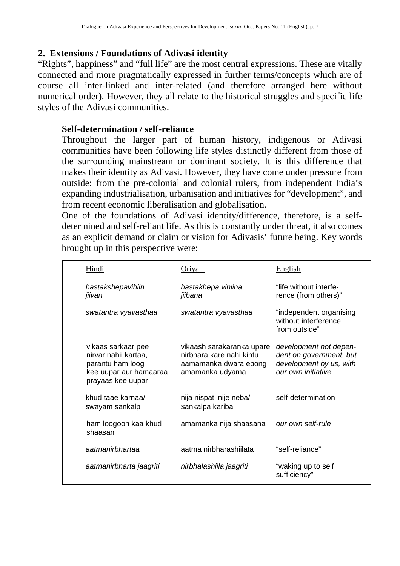## **2. Extensions / Foundations of Adivasi identity**

"Rights", happiness" and "full life" are the most central expressions. These are vitally connected and more pragmatically expressed in further terms/concepts which are of course all inter-linked and inter-related (and therefore arranged here without numerical order). However, they all relate to the historical struggles and specific life styles of the Adivasi communities.

### **Self-determination / self-reliance**

Throughout the larger part of human history, indigenous or Adivasi communities have been following life styles distinctly different from those of the surrounding mainstream or dominant society. It is this difference that makes their identity as Adivasi. However, they have come under pressure from outside: from the pre-colonial and colonial rulers, from independent India's expanding industrialisation, urbanisation and initiatives for "development", and from recent economic liberalisation and globalisation.

One of the foundations of Adivasi identity/difference, therefore, is a selfdetermined and self-reliant life. As this is constantly under threat, it also comes as an explicit demand or claim or vision for Adivasis' future being. Key words brought up in this perspective were:

| <b>Hindi</b>                                                                                                  | <u>Oriya</u>                                                                                      | <b>English</b>                                                                                     |
|---------------------------------------------------------------------------------------------------------------|---------------------------------------------------------------------------------------------------|----------------------------------------------------------------------------------------------------|
| hastakshepavihiin<br>jiivan                                                                                   | hastakhepa vihiina<br>jiibana                                                                     | "life without interfe-<br>rence (from others)"                                                     |
| swatantra vyavasthaa                                                                                          | swatantra vyavasthaa                                                                              | "independent organising<br>without interference<br>from outside"                                   |
| vikaas sarkaar pee<br>nirvar nahii kartaa,<br>parantu ham loog<br>kee uupar aur hamaaraa<br>prayaas kee uupar | vikaash sarakaranka upare<br>nirbhara kare nahi kintu<br>aamamanka dwara ebong<br>amamanka udyama | development not depen-<br>dent on government, but<br>development by us, with<br>our own initiative |
| khud taae karnaa/<br>swayam sankalp                                                                           | nija nispati nije neba/<br>sankalpa kariba                                                        | self-determination                                                                                 |
| ham loogoon kaa khud<br>shaasan                                                                               | amamanka nija shaasana                                                                            | our own self-rule                                                                                  |
| aatmanirbhartaa                                                                                               | aatma nirbharashiilata                                                                            | "self-reliance"                                                                                    |
| aatmanirbharta jaagriti                                                                                       | nirbhalashiila jaagriti                                                                           | "waking up to self<br>sufficiency"                                                                 |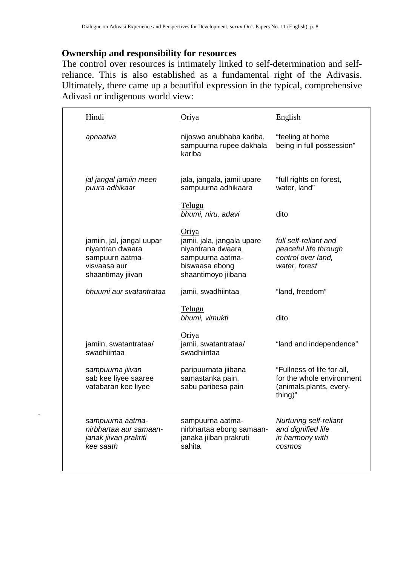## **Ownership and responsibility for resources**

The control over resources is intimately linked to self-determination and selfreliance. This is also established as a fundamental right of the Adivasis. Ultimately, there came up a beautiful expression in the typical, comprehensive Adivasi or indigenous world view:

| Hindi                                                                                                 | Oriya                                                                                                                 | English                                                                                        |
|-------------------------------------------------------------------------------------------------------|-----------------------------------------------------------------------------------------------------------------------|------------------------------------------------------------------------------------------------|
| apnaatva                                                                                              | nijoswo anubhaba kariba,<br>sampuurna rupee dakhala<br>kariba                                                         | "feeling at home<br>being in full possession"                                                  |
| jal jangal jamiin meen<br>puura adhikaar                                                              | jala, jangala, jamii upare<br>sampuurna adhikaara                                                                     | "full rights on forest,<br>water, land"                                                        |
|                                                                                                       | Telugu<br>bhumi, niru, adavi                                                                                          | dito                                                                                           |
| jamiin, jal, jangal uupar<br>niyantran dwaara<br>sampuurn aatma-<br>visvaasa aur<br>shaantimay jiivan | Oriya<br>jamii, jala, jangala upare<br>niyantrana dwaara<br>sampuurna aatma-<br>biswaasa ebong<br>shaantimoyo jiibana | full self-reliant and<br>peaceful life through<br>control over land,<br>water, forest          |
| bhuumi aur svatantrataa                                                                               | jamii, swadhiintaa                                                                                                    | "land, freedom"                                                                                |
|                                                                                                       | Telugu<br>bhumi, vimukti                                                                                              | dito                                                                                           |
| jamiin, swatantrataa/<br>swadhiintaa                                                                  | <u>Oriya</u><br>jamii, swatantrataa/<br>swadhiintaa                                                                   | "land and independence"                                                                        |
| sampuurna jiivan<br>sab kee liyee saaree<br>vatabaran kee liyee                                       | paripuurnata jiibana<br>samastanka pain,<br>sabu paribesa pain                                                        | "Fullness of life for all,<br>for the whole environment<br>(animals, plants, every-<br>thing)" |
| sampuurna aatma-<br>nirbhartaa aur samaan-<br>janak jiivan prakriti<br>kee saath                      | sampuurna aatma-<br>nirbhartaa ebong samaan-<br>janaka jiiban prakruti<br>sahita                                      | <b>Nurturing self-reliant</b><br>and dignified life<br>in harmony with<br>cosmos               |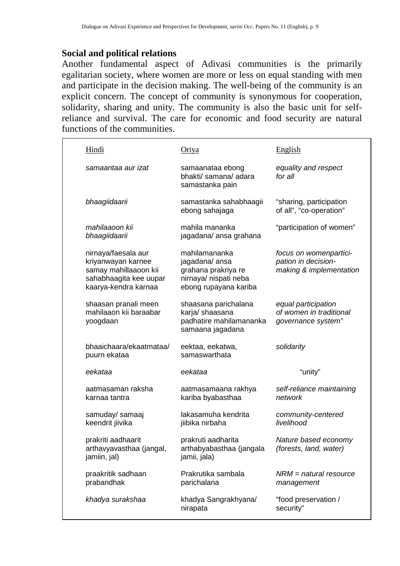### **Social and political relations**

Another fundamental aspect of Adivasi communities is the primarily egalitarian society, where women are more or less on equal standing with men and participate in the decision making. The well-being of the community is an explicit concern. The concept of community is synonymous for cooperation, solidarity, sharing and unity. The community is also the basic unit for selfreliance and survival. The care for economic and food security are natural functions of the communities.

| Hindi                                                                                                                | Oriya                                                                                                   | English                                                                  |
|----------------------------------------------------------------------------------------------------------------------|---------------------------------------------------------------------------------------------------------|--------------------------------------------------------------------------|
| samaantaa aur izat                                                                                                   | samaanataa ebong<br>bhakti/ samana/ adara<br>samastanka pain                                            | equality and respect<br>for all                                          |
| bhaagiidaarii                                                                                                        | samastanka sahabhaagii<br>ebong sahajaga                                                                | "sharing, participation<br>of all", "co-operation"                       |
| mahilaaoon kii<br>bhaagiidaarii                                                                                      | mahila mananka<br>jagadana/ ansa grahana                                                                | "participation of women"                                                 |
| nirnaya/faesala aur<br>kriyanwayan karnee<br>samay mahillaaoon kii<br>sahabhaagita kee uupar<br>kaarya-kendra karnaa | mahilamananka<br>jagadana/ansa<br>grahana prakriya re<br>nirnaya/ nispati neba<br>ebong rupayana kariba | focus on womenpartici-<br>pation in decision-<br>making & implementation |
| shaasan pranali meen<br>mahilaaon kii baraabar<br>yoogdaan                                                           | shaasana parichalana<br>karja/ shaasana<br>padhatire mahilamananka<br>samaana jagadana                  | equal participation<br>of women in traditional<br>governance system"     |
| bhaaichaara/ekaatmataa/<br>puurn ekataa                                                                              | eektaa, eekatwa,<br>samaswarthata                                                                       | solidarity                                                               |
| eekataa                                                                                                              | eekataa                                                                                                 | "unity"                                                                  |
| aatmasaman raksha<br>karnaa tantra                                                                                   | aatmasamaana rakhya<br>kariba byabasthaa                                                                | self-reliance maintaining<br>network                                     |
| samuday/ samaaj<br>keendrit jiivika                                                                                  | lakasamuha kendrita<br>jiibika nirbaha                                                                  | community-centered<br>livelihood                                         |
| prakriti aadhaarit<br>arthavyavasthaa (jangal,<br>jamiin, jal)                                                       | prakruti aadharita<br>arthabyabasthaa (jangala<br>jamii, jala)                                          | Nature based economy<br>(forests, land, water)                           |
| praakritik sadhaan<br>prabandhak                                                                                     | Prakrutika sambala<br>parichalana                                                                       | $NRM =$ natural resource<br>management                                   |
| khadya surakshaa                                                                                                     | khadya Sangrakhyana/<br>nirapata                                                                        | "food preservation /<br>security"                                        |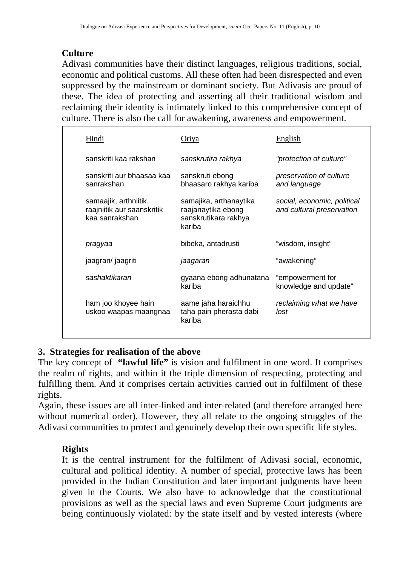## **Culture**

Adivasi communities have their distinct languages, religious traditions, social, economic and political customs. All these often had been disrespected and even suppressed by the mainstream or dominant society. But Adivasis are proud of these. The idea of protecting and asserting all their traditional wisdom and reclaiming their identity is intimately linked to this comprehensive concept of culture. There is also the call for awakening, awareness and empowerment.

| Hindi                                                                 | Oriva                                                                          | English                                                  |
|-----------------------------------------------------------------------|--------------------------------------------------------------------------------|----------------------------------------------------------|
| sanskriti kaa rakshan                                                 | sanskrutira rakhya                                                             | "protection of culture"                                  |
| sanskriti aur bhaasaa kaa<br>sanrakshan                               | sanskruti ebong<br>bhaasaro rakhya kariba                                      | preservation of culture<br>and language                  |
| samaajik, arthniitik,<br>raajniitik aur saanskritik<br>kaa sanrakshan | samajika, arthanaytika<br>raajanaytika ebong<br>sanskrutikara rakhya<br>kariba | social, economic, political<br>and cultural preservation |
| pragyaa                                                               | bibeka, antadrusti                                                             | "wisdom, insight"                                        |
| jaagran/ jaagriti                                                     | jaagaran                                                                       | "awakening"                                              |
| sashaktikaran                                                         | gyaana ebong adhunatana<br>kariba                                              | "empowerment for<br>knowledge and update"                |
| ham joo khoyee hain<br>uskoo waapas maangnaa                          | aame jaha haraichhu<br>taha pain pherasta dabi<br>kariba                       | reclaiming what we have<br>lost                          |

## **3. Strategies for realisation of the above**

The key concept of **"lawful life"** is vision and fulfilment in one word. It comprises the realm of rights, and within it the triple dimension of respecting, protecting and fulfilling them. And it comprises certain activities carried out in fulfilment of these rights.

Again, these issues are all inter-linked and inter-related (and therefore arranged here without numerical order). However, they all relate to the ongoing struggles of the Adivasi communities to protect and genuinely develop their own specific life styles.

## **Rights**

It is the central instrument for the fulfilment of Adivasi social, economic, cultural and political identity. A number of special, protective laws has been provided in the Indian Constitution and later important judgments have been given in the Courts. We also have to acknowledge that the constitutional provisions as well as the special laws and even Supreme Court judgments are being continuously violated: by the state itself and by vested interests (where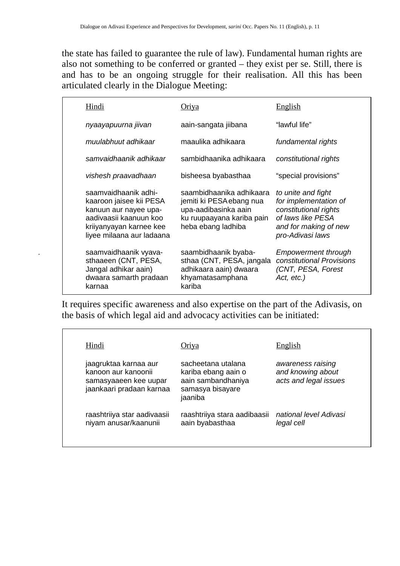the state has failed to guarantee the rule of law). Fundamental human rights are also not something to be conferred or granted – they exist per se. Still, there is and has to be an ongoing struggle for their realisation. All this has been articulated clearly in the Dialogue Meeting:

| Hindi                                                                                                                                                      | Oriya                                                                                                                           | English                                                                                                                                |
|------------------------------------------------------------------------------------------------------------------------------------------------------------|---------------------------------------------------------------------------------------------------------------------------------|----------------------------------------------------------------------------------------------------------------------------------------|
| nyaayapuurna jiivan                                                                                                                                        | aain-sangata jiibana                                                                                                            | "lawful life"                                                                                                                          |
| muulabhuut adhikaar                                                                                                                                        | maaulika adhikaara                                                                                                              | fundamental rights                                                                                                                     |
| samvaidhaanik adhikaar                                                                                                                                     | sambidhaanika adhikaara                                                                                                         | constitutional rights                                                                                                                  |
| vishesh praavadhaan                                                                                                                                        | bisheesa byabasthaa                                                                                                             | "special provisions"                                                                                                                   |
| saamvaidhaanik adhi-<br>kaaroon jaisee kii PESA<br>kanuun aur nayee upa-<br>aadivaasii kaanuun koo<br>kriiyanyayan karnee kee<br>liyee milaana aur ladaana | saambidhaanika adhikaara<br>jemiti ki PESA ebang nua<br>upa-aadibasinka aain<br>ku ruupaayana kariba pain<br>heba ebang ladhiba | to unite and fight<br>for implementation of<br>constitutional rights<br>of laws like PESA<br>and for making of new<br>pro-Adivasi laws |
| saamvaidhaanik vyava-<br>sthaaeen (CNT, PESA,<br>Jangal adhikar aain)<br>dwaara samarth pradaan<br>karnaa                                                  | saambidhaanik byaba-<br>sthaa (CNT, PESA, jangala<br>adhikaara aain) dwaara<br>khyamatasamphana<br>kariba                       | <b>Empowerment through</b><br>constitutional Provisions<br>(CNT, PESA, Forest<br>Act, etc.)                                            |

It requires specific awareness and also expertise on the part of the Adivasis, on the basis of which legal aid and advocacy activities can be initiated:

| Hindi                                                                                             | Oriya                                                                                          | English                                                         |
|---------------------------------------------------------------------------------------------------|------------------------------------------------------------------------------------------------|-----------------------------------------------------------------|
| jaagruktaa karnaa aur<br>kanoon aur kanoonii<br>samasyaaeen kee uupar<br>jaankaari pradaan karnaa | sacheetana utalana<br>kariba ebang aain o<br>aain sambandhaniya<br>samasya bisayare<br>jaaniba | awareness raising<br>and knowing about<br>acts and legal issues |
| raashtriiya star aadivaasii<br>niyam anusar/kaanunii                                              | raashtriiya stara aadibaasii<br>aain byabasthaa                                                | national level Adivasi<br>legal cell                            |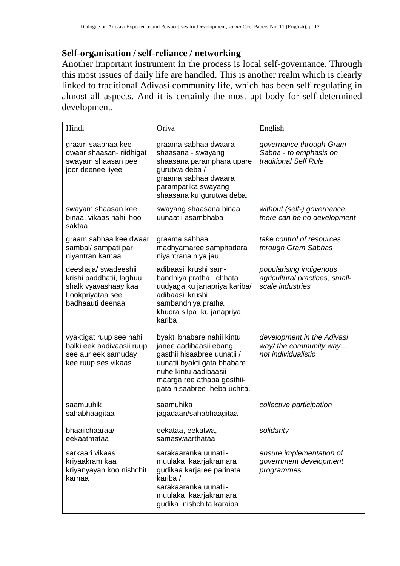#### Self-organisation / self-reliance / networking

Another important instrument in the process is local self-governance. Through this most issues of daily life are handled. This is another realm which is clearly linked to traditional Adivasi community life, which has been self-regulating in almost all aspects. And it is certainly the most apt body for self-determined development.

| Hindi                                                                                                            | <u>Oriya</u>                                                                                                                                                                                             | <b>English</b>                                                                |
|------------------------------------------------------------------------------------------------------------------|----------------------------------------------------------------------------------------------------------------------------------------------------------------------------------------------------------|-------------------------------------------------------------------------------|
| graam saabhaa kee<br>dwaar shaasan- riidhigat<br>swayam shaasan pee<br>joor deenee liyee                         | graama sabhaa dwaara<br>shaasana - swayang<br>shaasana paramphara upare<br>gurutwa deba /<br>graama sabhaa dwaara<br>paramparika swayang<br>shaasana ku gurutwa deba.                                    | governance through Gram<br>Sabha - to emphasis on<br>traditional Self Rule    |
| swayam shaasan kee<br>binaa, vikaas nahii hoo<br>saktaa                                                          | swayang shaasana binaa<br>uunaatii asambhaba                                                                                                                                                             | without (self-) governance<br>there can be no development                     |
| graam sabhaa kee dwaar<br>sambal/ sampati par<br>niyantran karnaa                                                | graama sabhaa<br>madhyamaree samphadara<br>niyantrana niya jau                                                                                                                                           | take control of resources<br>through Gram Sabhas                              |
| deeshaja/ swadeeshii<br>krishi paddhatii, laghuu<br>shalk vyavashaay kaa<br>Lookpriyataa see<br>badhaauti deenaa | adibaasii krushi sam-<br>bandhiya pratha, chhata<br>uudyaga ku janapriya kariba/<br>adibaasii krushi<br>sambandhiya pratha,<br>khudra silpa ku janapriya<br>kariba                                       | popularising indigenous<br>agricultural practices, small-<br>scale industries |
| vyaktigat ruup see nahii<br>balki eek aadivaasii ruup<br>see aur eek samuday<br>kee ruup ses vikaas              | byakti bhabare nahii kintu<br>janee aadibaasii ebang<br>gasthii hisaabree uunatii /<br>uunatii byakti gata bhabare<br>nuhe kintu aadibaasii<br>maarga ree athaba gosthii-<br>gata hisaabree heba uchita. | development in the Adivasi<br>way/ the community way<br>not individualistic   |
| saamuuhik<br>sahabhaagitaa                                                                                       | saamuhika<br>jagadaan/sahabhaagitaa                                                                                                                                                                      | collective participation                                                      |
| bhaaiichaaraa/<br>eekaatmataa                                                                                    | eekataa, eekatwa,<br>samaswaarthataa                                                                                                                                                                     | solidarity                                                                    |
| sarkaari vikaas<br>kriyaakram kaa<br>kriyanyayan koo nishchit<br>karnaa                                          | sarakaaranka uunatii-<br>muulaka kaarjakramara<br>gudikaa karjaree parinata<br>kariba /<br>sarakaaranka uunatii-<br>muulaka kaarjakramara<br>gudika nishchita karaiba                                    | ensure implementation of<br>government development<br>programmes              |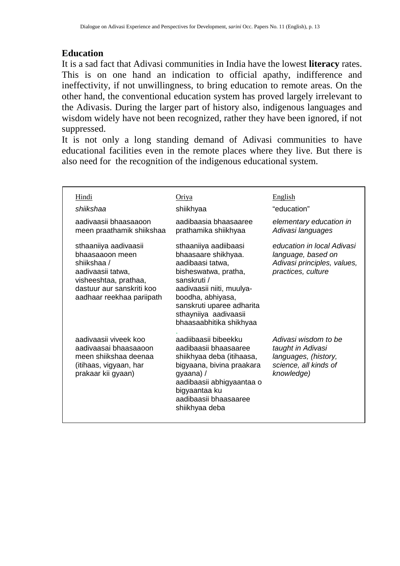## **Education**

It is a sad fact that Adivasi communities in India have the lowest **literacy** rates. This is on one hand an indication to official apathy, indifference and ineffectivity, if not unwillingness, to bring education to remote areas. On the other hand, the conventional education system has proved largely irrelevant to the Adivasis. During the larger part of history also, indigenous languages and wisdom widely have not been recognized, rather they have been ignored, if not suppressed.

It is not only a long standing demand of Adivasi communities to have educational facilities even in the remote places where they live. But there is also need for the recognition of the indigenous educational system.

| Hindi<br>shiikshaa<br>aadivaasii bhaasaaoon<br>meen praathamik shiikshaa                                                                                        | Oriya<br>shiikhyaa<br>aadibaasia bhaasaaree<br>prathamika shiikhyaa                                                                                                                                                                        | English<br>"education"<br>elementary education in<br>Adivasi languages                                   |
|-----------------------------------------------------------------------------------------------------------------------------------------------------------------|--------------------------------------------------------------------------------------------------------------------------------------------------------------------------------------------------------------------------------------------|----------------------------------------------------------------------------------------------------------|
| sthaaniiya aadivaasii<br>bhaasaaoon meen<br>shiikshaa /<br>aadivaasii tatwa,<br>visheeshtaa, prathaa,<br>dastuur aur sanskriti koo<br>aadhaar reekhaa pariipath | sthaaniiya aadiibaasi<br>bhaasaare shikhyaa.<br>aadibaasi tatwa.<br>bisheswatwa, pratha,<br>sanskruti /<br>aadivaasii niiti, muulya-<br>boodha, abhiyasa,<br>sanskruti uparee adharita<br>sthayniiya aadivaasii<br>bhaasaabhitika shikhyaa | education in local Adivasi<br>language, based on<br>Adivasi principles, values,<br>practices, culture    |
| aadivaasii viveek koo<br>aadiyaasai bhaasaaoon<br>meen shiikshaa deenaa<br>(itihaas, vigyaan, har<br>prakaar kii gyaan)                                         | aadiibaasii bibeekku<br>aadibaasii bhaasaaree<br>shiikhyaa deba (itihaasa,<br>bigyaana, bivina praakara<br>gyaana) /<br>aadibaasii abhigyaantaa o<br>bigyaantaa ku<br>aadibaasii bhaasaaree<br>shiikhyaa deba                              | Adivasi wisdom to be<br>taught in Adivasi<br>languages, (history,<br>science, all kinds of<br>knowledge) |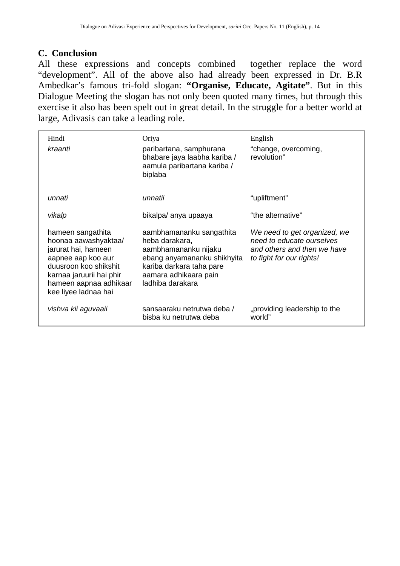## **C. Conclusion**

All these expressions and concepts combined together replace the word "development". All of the above also had already been expressed in Dr. B.R Ambedkar's famous tri-fold slogan: **"Organise, Educate, Agitate"**. But in this Dialogue Meeting the slogan has not only been quoted many times, but through this exercise it also has been spelt out in great detail. In the struggle for a better world at large, Adivasis can take a leading role.

| Hindi<br>kraanti                                                                                                                                                                              | Oriya<br>paribartana, samphurana<br>bhabare jaya laabha kariba /<br>aamula paribartana kariba /<br>biplaba                                                                 | English<br>"change, overcoming,<br>revolution"                                                                       |
|-----------------------------------------------------------------------------------------------------------------------------------------------------------------------------------------------|----------------------------------------------------------------------------------------------------------------------------------------------------------------------------|----------------------------------------------------------------------------------------------------------------------|
| unnati                                                                                                                                                                                        | unnatii                                                                                                                                                                    | "upliftment"                                                                                                         |
| vikalp                                                                                                                                                                                        | bikalpa/ anya upaaya                                                                                                                                                       | "the alternative"                                                                                                    |
| hameen sangathita<br>hoonaa aawashyaktaa/<br>jarurat hai, hameen<br>aapnee aap koo aur<br>duusroon koo shikshit<br>karnaa jaruurii hai phir<br>hameen aapnaa adhikaar<br>kee liyee ladnaa hai | aambhamananku sangathita<br>heba darakara,<br>aambhamananku nijaku<br>ebang anyamananku shikhyita<br>kariba darkara taha pare<br>aamara adhikaara pain<br>ladhiba darakara | We need to get organized, we<br>need to educate ourselves<br>and others and then we have<br>to fight for our rights! |
| vishva kii aguvaaii                                                                                                                                                                           | sansaaraku netrutwa deba /<br>bisba ku netrutwa deba                                                                                                                       | "providing leadership to the<br>world"                                                                               |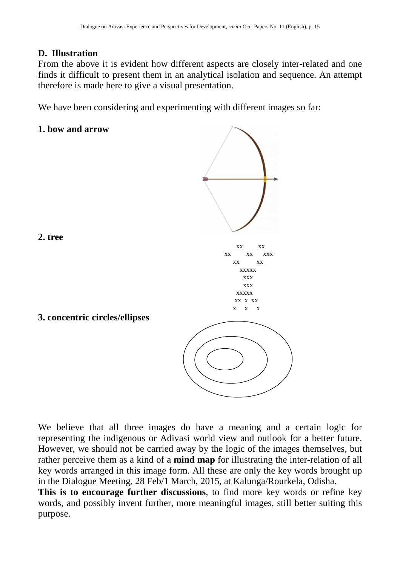## **D. Illustration**

From the above it is evident how different aspects are closely inter-related and one finds it difficult to present them in an analytical isolation and sequence. An attempt therefore is made here to give a visual presentation.

We have been considering and experimenting with different images so far:

#### **1. bow and arrow**

**3. concentric circles/ellipses** 



**2. tree** 

We believe that all three images do have a meaning and a certain logic for representing the indigenous or Adivasi world view and outlook for a better future. However, we should not be carried away by the logic of the images themselves, but rather perceive them as a kind of a **mind map** for illustrating the inter-relation of all key words arranged in this image form. All these are only the key words brought up in the Dialogue Meeting, 28 Feb/1 March, 2015, at Kalunga/Rourkela, Odisha.

**This is to encourage further discussions**, to find more key words or refine key words, and possibly invent further, more meaningful images, still better suiting this purpose.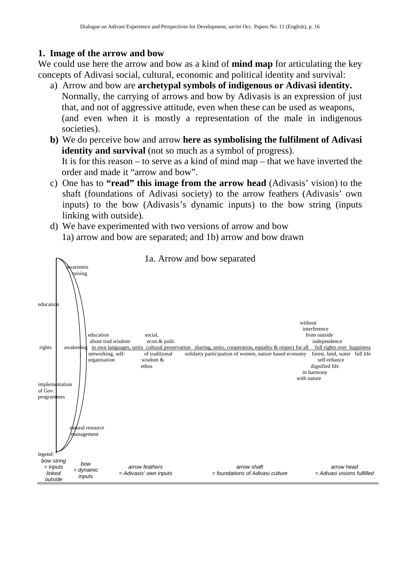#### **1. Image of the arrow and bow**

We could use here the arrow and bow as a kind of **mind map** for articulating the key concepts of Adivasi social, cultural, economic and political identity and survival:

- a) Arrow and bow are **archetypal symbols of indigenous or Adivasi identity.** Normally, the carrying of arrows and bow by Adivasis is an expression of just that, and not of aggressive attitude, even when these can be used as weapons, (and even when it is mostly a representation of the male in indigenous societies).
- **b)** We do perceive bow and arrow **here as symbolising the fulfilment of Adivasi identity and survival** (not so much as a symbol of progress). It is for this reason – to serve as a kind of mind map – that we have inverted the order and made it "arrow and bow".
- c) One has to **"read" this image from the arrow head** (Adivasis' vision) to the shaft (foundations of Adivasi society) to the arrow feathers (Adivasis' own inputs) to the bow (Adivasis's dynamic inputs) to the bow string (inputs linking with outside).
- d) We have experimented with two versions of arrow and bow 1a) arrow and bow are separated; and 1b) arrow and bow drawn

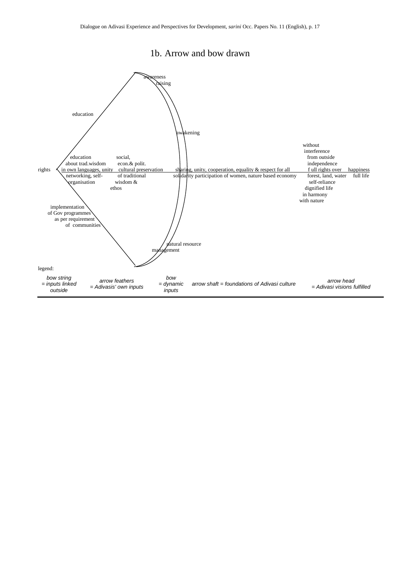#### 1b. Arrow and bow drawn

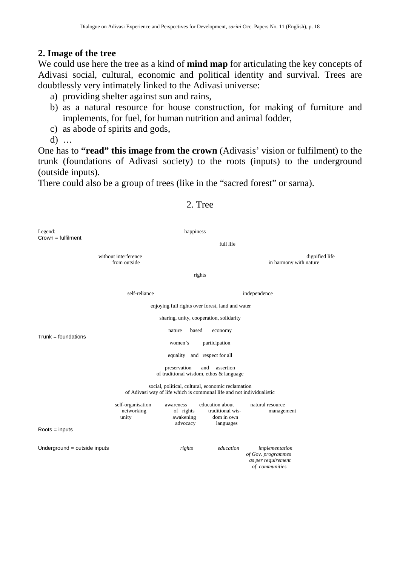#### **2. Image of the tree**

We could use here the tree as a kind of **mind map** for articulating the key concepts of Adivasi social, cultural, economic and political identity and survival. Trees are doubtlessly very intimately linked to the Adivasi universe:

- a) providing shelter against sun and rains,
- b) as a natural resource for house construction, for making of furniture and implements, for fuel, for human nutrition and animal fodder,
- c) as abode of spirits and gods,

d) …

One has to **"read" this image from the crown** (Adivasis' vision or fulfilment) to the trunk (foundations of Adivasi society) to the roots (inputs) to the underground (outside inputs).

There could also be a group of trees (like in the "sacred forest" or sarna).

## 2. Tree Legend: happiness Crown = fulfilment full life without interference dignified life difference dignified life difference dignified life and the monopole of the monopole of the monopole difference dignified life and the monopole of the monopole of the monopole of the mon in harmony with nature rights self-reliance independence enjoying full rights over forest, land and water sharing, unity, cooperation, solidarity nature based economy  $Trunk =$  foundations women's participation equality and respect for all preservation and assertion of traditional wisdom, ethos & language social, political, cultural, economic reclamation of Adivasi way of life which is communal life and not individualistic self-organisation awareness education about natural resource<br>networking of rights traditional wis- management networking of rights traditional wis-<br>unity awakening dom in own wakening dom in own<br>advocacy languages advocacylanguages Roots = inputs Underground = outside inputs *rights education implementation of Gov. programmes as per requirement of communities*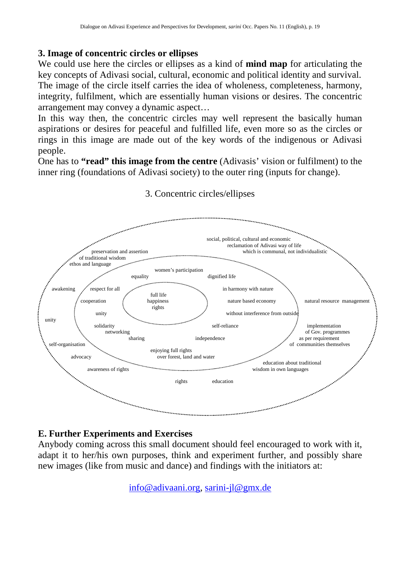### **3. Image of concentric circles or ellipses**

We could use here the circles or ellipses as a kind of **mind map** for articulating the key concepts of Adivasi social, cultural, economic and political identity and survival. The image of the circle itself carries the idea of wholeness, completeness, harmony, integrity, fulfilment, which are essentially human visions or desires. The concentric arrangement may convey a dynamic aspect…

In this way then, the concentric circles may well represent the basically human aspirations or desires for peaceful and fulfilled life, even more so as the circles or rings in this image are made out of the key words of the indigenous or Adivasi people.

One has to **"read" this image from the centre** (Adivasis' vision or fulfilment) to the inner ring (foundations of Adivasi society) to the outer ring (inputs for change).



## 3. Concentric circles/ellipses

#### **E. Further Experiments and Exercises**

Anybody coming across this small document should feel encouraged to work with it, adapt it to her/his own purposes, think and experiment further, and possibly share new images (like from music and dance) and findings with the initiators at:

info@adivaani.org, sarini-jl@gmx.de